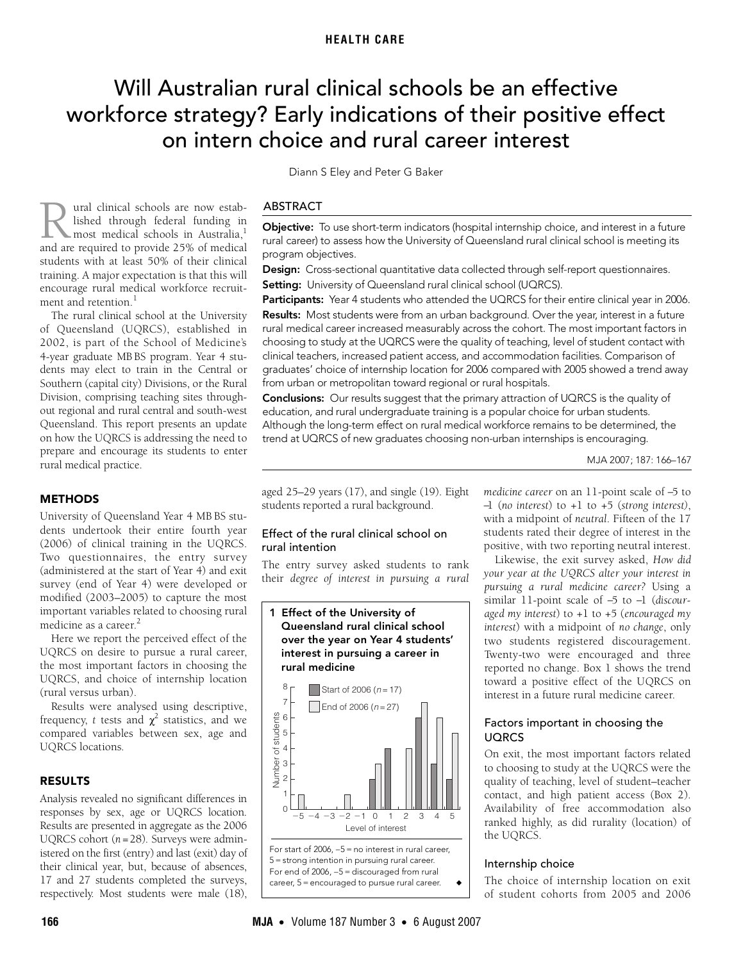# <span id="page-0-0"></span>Will Australian rural clinical schools be an effective workforce strategy? Early indications of their positive effect on intern choice and rural career interest

 $\frac{1}{2}$  Medical  $\frac{1}{2}$  and  $\frac{1}{2}$  and  $\frac{1}{2}$  and  $\frac{1}{2}$  are  $\frac{1}{2}$  and  $\frac{1}{2}$  are  $\frac{1}{2}$  and  $\frac{1}{2}$  are  $\frac{1}{2}$  and  $\frac{1}{2}$  are  $\frac{1}{2}$  and  $\frac{1}{2}$  are  $\frac{1}{2}$  and  $\frac{1}{2}$  are  $\frac{1}{2$ encourage rural medical workforce [recru](#page-0-0)itandretention. ural clinical schools are now established through federal funding in most medical schools in Australia, $^1$ **1988** Iished through federal funding in most medical schools in Australia,<sup>1</sup> and are required to provide 25% of medical students with at least 50% of their clinical training. A major expectation is that this will ment and retention. $<sup>1</sup>$ </sup>

The rural clinical school at the University of Queensland (UQRCS), established in 2002, is part of the School of Medicine's 4-year graduate MB BS program. Year 4 students may elect to train in the Central or Southern (capital city) Divisions, or the Rural Division, comprising teaching sites throughout regional and rural central and south-west Queensland. This report presents an update on how the UQRCS is addressing the need to prepare and encourage its students to enter rural medical practice.

## **METHODS**

University of Queensland Year 4 MB BS students undertook their entire fourth year (2006) of clinical training in the UQRCS. Two questionnaires, the entry survey (administered at the start of Year 4) and exit survey (end of Year 4) were developed or modified (2003–2005) to capture the most important variables related to choosing rural medicine as a career.<sup>[2](#page-1-1)</sup>

Here we report the perceived effect of the UQRCS on desire to pursue a rural career, the most important factors in choosing the UQRCS, and choice of internship location (rural versus urban).

Results were analysed using descriptive, frequency, *t* tests and  $\chi^2$  statistics, and we compared variables between sex, age and UQRCS locations.

## RESULTS

Analysis revealed no significant differences in responses by sex, age or UQRCS location. Results are presented in aggregate as the 2006 UQRCS cohort (*n* =28). Surveys were administered on the first (entry) and last (exit) day of their clinical year, but, because of absences, 17 and 27 students completed the surveys, respectively. Most students were male (18),

Diann S Eley and Peter G Baker

#### ABSTRACT

Objective: To use short-term indicators (hospital internship choice, and interest in a future rural career) to assess how the University of Queensland rural clinical school is meeting its program objectives.

Design: Cross-sectional quantitative data collected through self-report questionnaires. Setting: University of Queensland rural clinical school (UQRCS).

Participants: Year 4 students who attended the UQRCS for their entire clinical year in 2006. Results: Most students were from an urban background. Over the year, interest in a future rural medical career increased measurably across the cohort. The most important factors in choosing to study at the UQRCS were the quality of teaching, level of student contact with clinical teachers, increased patient access, and accommodation facilities. Comparison of graduates' choice of internship location for 2006 compared with 2005 showed a trend away from urban or metropolitan toward regional or rural hospitals.

Conclusions: Our results suggest that the primary attraction of UQRCS is the quality of education, and rural undergraduate training is a popular choice for urban students. Although the long-term effect on rural medical workforce remains to be determined, the trend at UQRCS of new graduates choosing non-urban internships is encouraging.

MJA 2007; 187: 166–167

aged 25–29 years (17), and single (19). Eight students reported a rural background.

## Effect of the rural clinical school on rural intention

The entry survey asked students to rank their *degree of interest in pursuing a rural*

<span id="page-0-1"></span>

*medicine career* on an 11-point scale of −5 to −1 (*no interest*) to +1 to +5 (*strong interest)*, with a midpoint of *neutral*. Fifteen of the 17 students rated their degree of interest in the positive, with two reporting neutral interest.

Likewise, the exit survey asked, *How did your year at the UQRCS alter your interest in pursuing a rural medicine career?* Using a similar 11-point scale of −5 to −1 (*discouraged my interest*) to +1 to +5 (*encouraged my interest*) with a midpoint of *no change*, only two students registered discouragement. Twenty-two were encouraged and three reported no change. [Box 1](#page-0-1) shows the trend toward a positive effect of the UQRCS on interest in a future rural medicine career.

#### Factors important in choosing the UQRCS

On exit, the most important factors related to choosing to study at the UQRCS were the quality of teaching, level of student–teacher contact, and high patient access ([Box 2\)](#page-1-3). Availability of free accommodation also ranked highly, as did rurality (location) of the UQRCS.

#### Internship choice

The choice of internship location on exit of student cohorts from 2005 and 2006